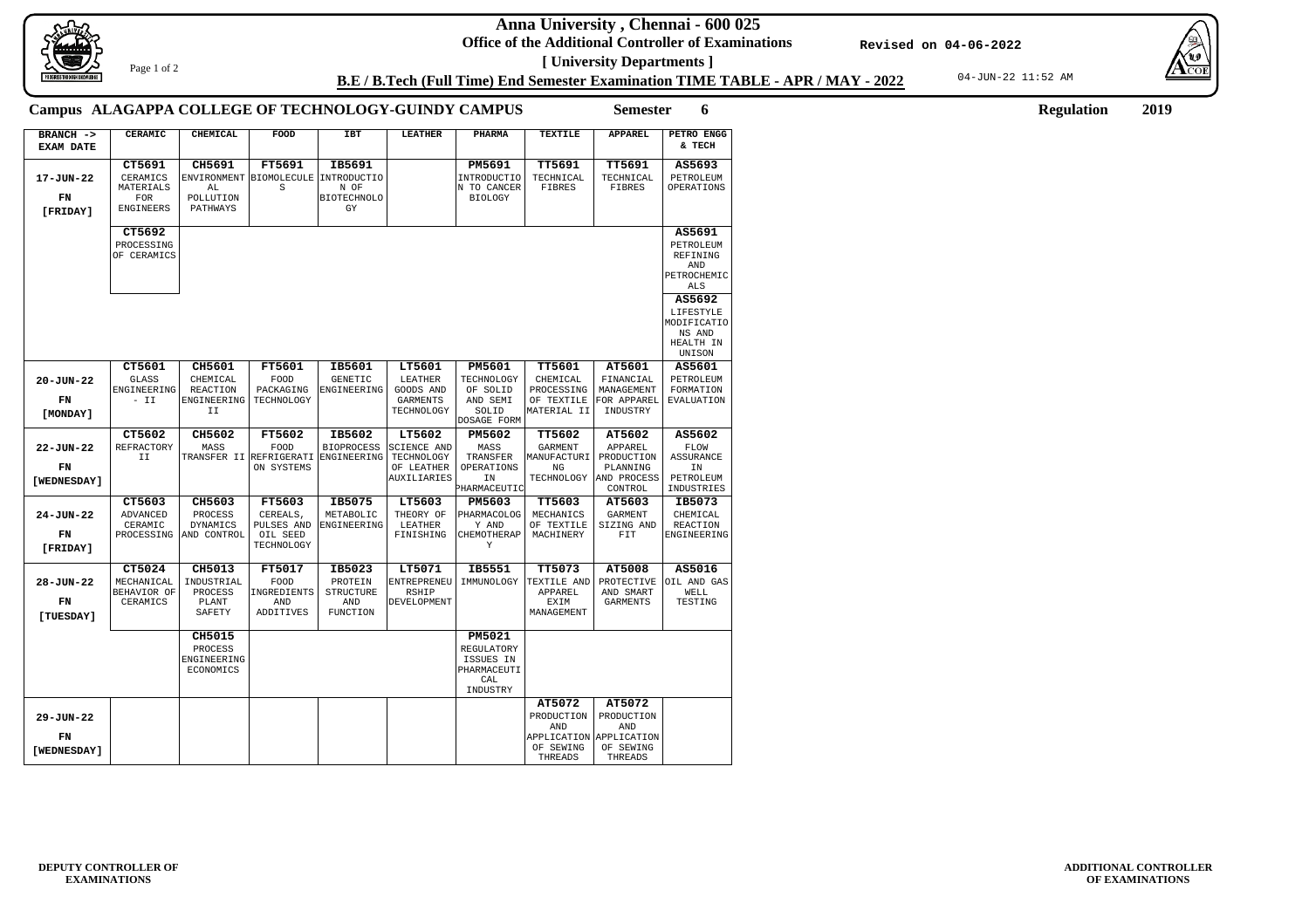**Anna University , Chennai - 600 025**

**Office of the Additional Controller of Examinations [ University Departments ]**

04-JUN-22 11:52 AM





**ADDITIONAL CONTROLLER OF EXAMINATIONS**

## **B.E / B.Tech (Full Time) End Semester Examination TIME TABLE - APR / MAY - 2022**

**Revised on 04-06-2022**

Page 1 of 2

**Semester 6 Regulation 2019**

## **Campus ALAGAPPA COLLEGE OF TECHNOLOGY-GUINDY CAMPUS**

| BRANCH -><br><b>EXAM DATE</b>        | <b>CERAMIC</b>                                          | <b>CHEMICAL</b>                               | FOOD                                             | <b>IBT</b>                                            | <b>LEATHER</b>                                                | <b>PHARMA</b>                                                              | <b>TEXTILE</b>                                                     | <b>APPAREL</b>                                                     | PETRO ENGG<br>& TECH                                      |
|--------------------------------------|---------------------------------------------------------|-----------------------------------------------|--------------------------------------------------|-------------------------------------------------------|---------------------------------------------------------------|----------------------------------------------------------------------------|--------------------------------------------------------------------|--------------------------------------------------------------------|-----------------------------------------------------------|
|                                      | CT5691                                                  | CH5691                                        | <b>FT5691</b>                                    | IB5691                                                |                                                               | PM5691                                                                     | <b>TT5691</b>                                                      | <b>TT5691</b>                                                      | AS5693                                                    |
| 17-JUN-22<br>FN<br>[FRIDAY]          | CERAMICS<br>MATERIALS<br><b>FOR</b><br><b>ENGINEERS</b> | ENVIRONMENT<br>AL<br>POLLUTION<br>PATHWAYS    | BIOMOLECULE<br>S                                 | INTRODUCTIO<br>N OF<br><b>BIOTECHNOLO</b><br>GY       |                                                               | <b>INTRODUCTIO</b><br>N TO CANCER<br><b>BIOLOGY</b>                        | TECHNICAL<br>FIBRES                                                | TECHNICAL<br>FIBRES                                                | PETROLEUM<br>OPERATIONS                                   |
|                                      | CT5692                                                  |                                               |                                                  |                                                       |                                                               |                                                                            |                                                                    |                                                                    | AS5691                                                    |
|                                      | PROCESSING<br>OF CERAMICS                               |                                               |                                                  |                                                       |                                                               |                                                                            |                                                                    |                                                                    | PETROLEUM<br>REFINING<br>AND<br>PETROCHEMIC<br>ALS        |
|                                      |                                                         |                                               |                                                  |                                                       |                                                               |                                                                            |                                                                    |                                                                    | AS5692<br>LIFESTYLE<br>MODIFICATIO<br>NS AND<br>HEALTH IN |
|                                      |                                                         |                                               |                                                  |                                                       |                                                               |                                                                            |                                                                    |                                                                    | UNISON                                                    |
|                                      | CT5601                                                  | CH5601                                        | <b>FT5601</b>                                    | IB5601                                                | LT5601                                                        | PM5601                                                                     | TT5601                                                             | AT5601                                                             | AS5601                                                    |
| $20 - JUN - 22$                      | <b>GLASS</b><br>ENGINEERING                             | CHEMICAL<br><b>REACTION</b>                   | <b>FOOD</b><br>PACKAGING                         | <b>GENETIC</b><br>ENGINEERING                         | LEATHER<br>GOODS AND                                          | TECHNOLOGY<br>OF SOLID                                                     | CHEMICAL<br>PROCESSING                                             | FINANCIAL<br>MANAGEMENT                                            | PETROLEUM<br>FORMATION                                    |
| FN                                   | $- II$                                                  | ENGINEERING                                   | TECHNOLOGY                                       |                                                       | <b>GARMENTS</b>                                               | AND SEMI                                                                   | OF TEXTILE                                                         | FOR APPAREL                                                        | <b>EVALUATION</b>                                         |
| [MONDAY]                             |                                                         | II                                            |                                                  |                                                       | TECHNOLOGY                                                    | SOLID<br>DOSAGE FORM                                                       | MATERIAL II                                                        | INDUSTRY                                                           |                                                           |
|                                      | CT5602                                                  | CH5602                                        | FT5602                                           | IB5602                                                | LT5602                                                        | PM5602                                                                     | TT5602                                                             | AT5602                                                             | AS5602                                                    |
| $22 - JUN - 22$<br>FN<br>[WEDNESDAY] | REFRACTORY<br>ΙI                                        | MASS                                          | FOOD<br>TRANSFER II REFRIGERATI<br>ON SYSTEMS    | <b>BIOPROCESS</b><br>ENGINEERING                      | <b>SCIENCE AND</b><br>TECHNOLOGY<br>OF LEATHER<br>AUXILIARIES | MASS<br>TRANSFER<br>OPERATIONS<br>ΙN<br>PHARMACEUTIC                       | <b>GARMENT</b><br>MANUFACTURI<br>ΝG<br>TECHNOLOGY                  | APPAREL<br>PRODUCTION<br>PLANNING<br>AND PROCESS<br>CONTROL        | FLOW<br><b>ASSURANCE</b><br>ΙN<br>PETROLEUM<br>INDUSTRIES |
|                                      | CT5603                                                  | CH5603                                        | <b>FT5603</b>                                    | IB5075                                                | LT5603                                                        | PM5603                                                                     | TT5603                                                             | AT5603                                                             | IB5073                                                    |
| $24 - JUN - 22$<br>FN<br>[FRIDAY]    | <b>ADVANCED</b><br>CERAMIC<br>PROCESSING                | PROCESS<br>DYNAMICS<br>AND CONTROL            | CEREALS,<br>PULSES AND<br>OIL SEED<br>TECHNOLOGY | METABOLIC<br>ENGINEERING                              | THEORY OF<br>LEATHER<br>FINISHING                             | PHARMACOLOG<br>Y AND<br>CHEMOTHERAP<br>Υ                                   | MECHANICS<br>OF TEXTILE<br>MACHINERY                               | <b>GARMENT</b><br>SIZING AND<br>FIT                                | CHEMICAL<br>REACTION<br>ENGINEERING                       |
|                                      | CT5024                                                  | CH5013                                        | <b>FT5017</b>                                    | IB5023                                                | LT5071                                                        | IB5551                                                                     | TT5073                                                             | AT5008                                                             | AS5016                                                    |
| $28 - JUN - 22$<br>FN<br>[TUESDAY]   | MECHANICAL<br>BEHAVIOR OF<br>CERAMICS                   | INDUSTRIAL<br>PROCESS<br>PLANT<br>SAFETY      | <b>FOOD</b><br>INGREDIENTS<br>AND<br>ADDITIVES   | PROTEIN<br><b>STRUCTURE</b><br>AND<br><b>FUNCTION</b> | <b>ENTREPRENEU</b><br><b>RSHIP</b><br>DEVELOPMENT             | IMMUNOLOGY                                                                 | TEXTILE AND<br>APPAREL<br>EXIM<br>MANAGEMENT                       | PROTECTIVE<br>AND SMART<br>GARMENTS                                | OIL AND GAS<br>WELL<br>TESTING                            |
|                                      |                                                         | CH5015<br>PROCESS<br>ENGINEERING<br>ECONOMICS |                                                  |                                                       |                                                               | <b>PM5021</b><br>REGULATORY<br>ISSUES IN<br>PHARMACEUTI<br>CAL<br>INDUSTRY |                                                                    |                                                                    |                                                           |
| 29-JUN-22<br>FN<br>[WEDNESDAY]       |                                                         |                                               |                                                  |                                                       |                                                               |                                                                            | AT5072<br>PRODUCTION<br>AND<br>APPLICATION<br>OF SEWING<br>THREADS | AT5072<br>PRODUCTION<br>AND<br>APPLICATION<br>OF SEWING<br>THREADS |                                                           |